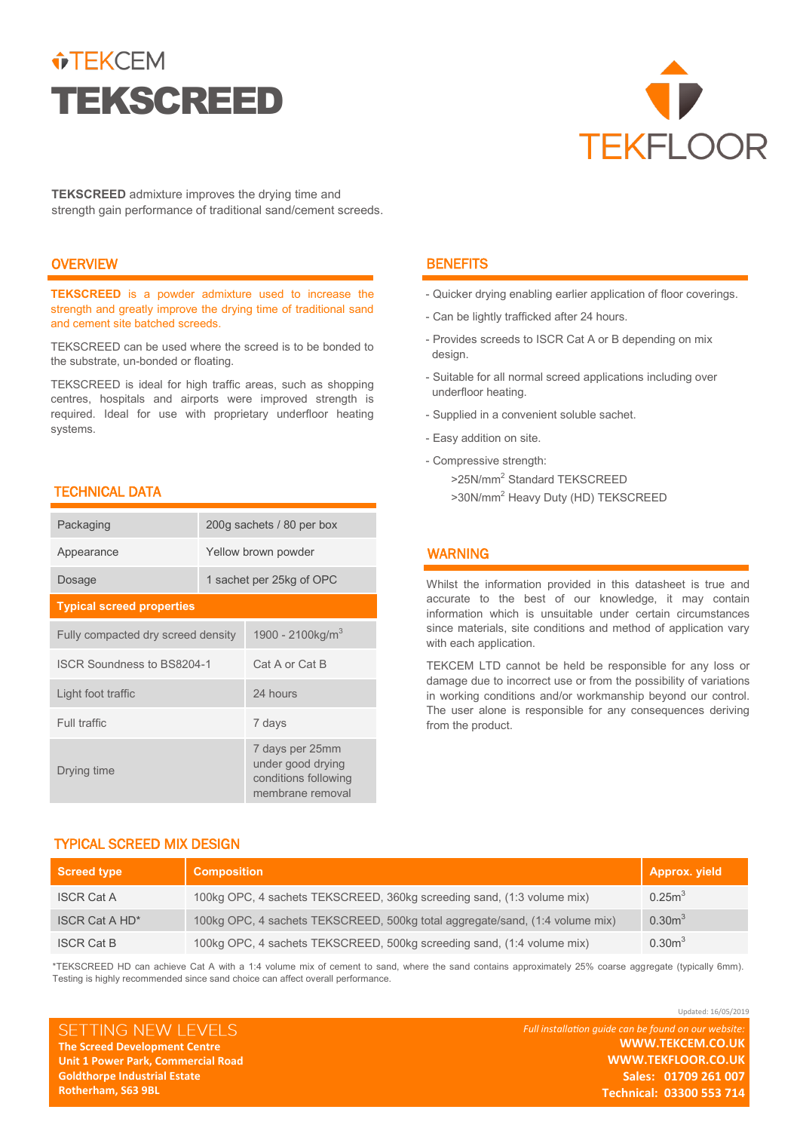# $\hat{v}$ TEKCEM TEKSCREED



**TEKSCREED** admixture improves the drying time and strength gain performance of traditional sand/cement screeds.

# **OVERVIEW**

**TEKSCREED** is a powder admixture used to increase the strength and greatly improve the drying time of traditional sand and cement site batched screeds.

TEKSCREED can be used where the screed is to be bonded to the substrate, un-bonded or floating.

TEKSCREED is ideal for high traffic areas, such as shopping centres, hospitals and airports were improved strength is required. Ideal for use with proprietary underfloor heating systems.

# TECHNICAL DATA

| Packaging                          | 200g sachets / 80 per box |                                                                                  |  |  |
|------------------------------------|---------------------------|----------------------------------------------------------------------------------|--|--|
| Appearance                         | Yellow brown powder       |                                                                                  |  |  |
| Dosage                             | 1 sachet per 25kg of OPC  |                                                                                  |  |  |
| <b>Typical screed properties</b>   |                           |                                                                                  |  |  |
| Fully compacted dry screed density |                           | 1900 - 2100kg/ $m^3$                                                             |  |  |
| <b>ISCR Soundness to BS8204-1</b>  |                           | Cat A or Cat B                                                                   |  |  |
| Light foot traffic                 |                           | 24 hours                                                                         |  |  |
| <b>Full traffic</b>                |                           | 7 days                                                                           |  |  |
| Drying time                        |                           | 7 days per 25mm<br>under good drying<br>conditions following<br>membrane removal |  |  |

## **BENEFITS**

- Quicker drying enabling earlier application of floor coverings.
- Can be lightly trafficked after 24 hours.
- Provides screeds to ISCR Cat A or B depending on mix design.
- Suitable for all normal screed applications including over underfloor heating.
- Supplied in a convenient soluble sachet.
- Easy addition on site.
- Compressive strength:
	- >25N/mm<sup>2</sup> Standard TEKSCREED
	- >30N/mm<sup>2</sup> Heavy Duty (HD) TEKSCREED

# WARNING

Whilst the information provided in this datasheet is true and accurate to the best of our knowledge, it may contain information which is unsuitable under certain circumstances since materials, site conditions and method of application vary with each application.

TEKCEM LTD cannot be held be responsible for any loss or damage due to incorrect use or from the possibility of variations in working conditions and/or workmanship beyond our control. The user alone is responsible for any consequences deriving from the product.

# TYPICAL SCREED MIX DESIGN

| <b>Screed type</b>    | <b>Composition</b>                                                           | Approx. yield      |
|-----------------------|------------------------------------------------------------------------------|--------------------|
| <b>ISCR Cat A</b>     | 100kg OPC, 4 sachets TEKSCREED, 360kg screeding sand, (1:3 volume mix)       | 0.25m <sup>3</sup> |
| <b>ISCR Cat A HD*</b> | 100kg OPC, 4 sachets TEKSCREED, 500kg total aggregate/sand, (1:4 volume mix) | 0.30 <sup>3</sup>  |
| <b>ISCR Cat B</b>     | 100kg OPC, 4 sachets TEKSCREED, 500kg screeding sand, (1:4 volume mix)       | 0.30 <sup>3</sup>  |

\*TEKSCREED HD can achieve Cat A with a 1:4 volume mix of cement to sand, where the sand contains approximately 25% coarse aggregate (typically 6mm). Testing is highly recommended since sand choice can affect overall performance.

SETTING NEW LEVELS **The Screed Development Centre Unit 1 Power Park, Commercial Road Goldthorpe Industrial Estate Rotherham, S63 9BL** 

*Full installation guide can be found on our website:* **WWW.TEKCEM.CO.UK WWW.TEKFLOOR.CO.UK Sales: 01709 261 007 Technical: 03300 553 714**

Updated: 16/05/2019